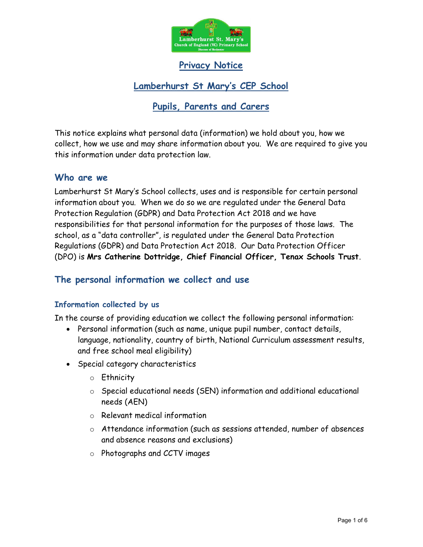

Privacy Notice

# Lamberhurst St Mary's CEP School

## Pupils, Parents and Carers

This notice explains what personal data (information) we hold about you, how we collect, how we use and may share information about you. We are required to give you this information under data protection law.

#### Who are we

Lamberhurst St Mary's School collects, uses and is responsible for certain personal information about you. When we do so we are regulated under the General Data Protection Regulation (GDPR) and Data Protection Act 2018 and we have responsibilities for that personal information for the purposes of those laws. The school, as a "data controller", is regulated under the General Data Protection Regulations (GDPR) and Data Protection Act 2018. Our Data Protection Officer (DPO) is Mrs Catherine Dottridge, Chief Financial Officer, Tenax Schools Trust.

### The personal information we collect and use

#### Information collected by us

In the course of providing education we collect the following personal information:

- Personal information (such as name, unique pupil number, contact details, language, nationality, country of birth, National Curriculum assessment results, and free school meal eligibility)
- Special category characteristics
	- o Ethnicity
	- o Special educational needs (SEN) information and additional educational needs (AEN)
	- o Relevant medical information
	- o Attendance information (such as sessions attended, number of absences and absence reasons and exclusions)
	- o Photographs and CCTV images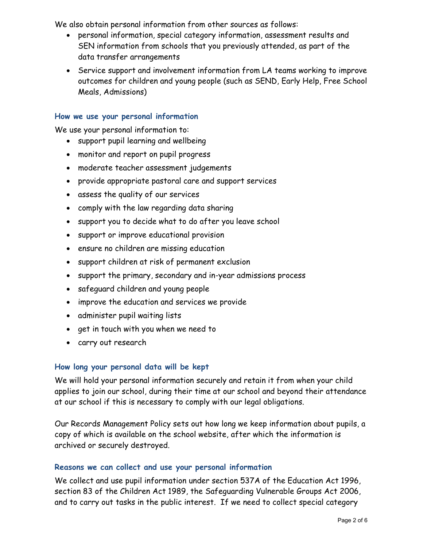We also obtain personal information from other sources as follows:

- personal information, special category information, assessment results and SEN information from schools that you previously attended, as part of the data transfer arrangements
- Service support and involvement information from LA teams working to improve outcomes for children and young people (such as SEND, Early Help, Free School Meals, Admissions)

#### How we use your personal information

We use your personal information to:

- support pupil learning and wellbeing
- monitor and report on pupil progress
- moderate teacher assessment judgements
- provide appropriate pastoral care and support services
- assess the quality of our services
- comply with the law regarding data sharing
- support you to decide what to do after you leave school
- support or improve educational provision
- ensure no children are missing education
- support children at risk of permanent exclusion
- support the primary, secondary and in-year admissions process
- safeguard children and young people
- improve the education and services we provide
- administer pupil waiting lists
- get in touch with you when we need to
- carry out research

#### How long your personal data will be kept

We will hold your personal information securely and retain it from when your child applies to join our school, during their time at our school and beyond their attendance at our school if this is necessary to comply with our legal obligations.

Our Records Management Policy sets out how long we keep information about pupils, a copy of which is available on the school website, after which the information is archived or securely destroyed.

#### Reasons we can collect and use your personal information

We collect and use pupil information under section 537A of the Education Act 1996, section 83 of the Children Act 1989, the Safeguarding Vulnerable Groups Act 2006, and to carry out tasks in the public interest. If we need to collect special category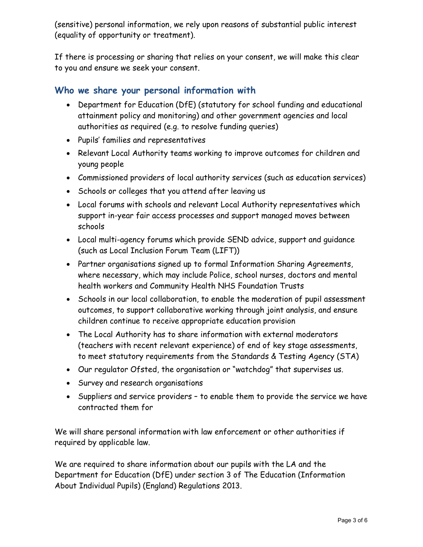(sensitive) personal information, we rely upon reasons of substantial public interest (equality of opportunity or treatment).

If there is processing or sharing that relies on your consent, we will make this clear to you and ensure we seek your consent.

### Who we share your personal information with

- Department for Education (DfE) (statutory for school funding and educational attainment policy and monitoring) and other government agencies and local authorities as required (e.g. to resolve funding queries)
- Pupils' families and representatives
- Relevant Local Authority teams working to improve outcomes for children and young people
- Commissioned providers of local authority services (such as education services)
- Schools or colleges that you attend after leaving us
- Local forums with schools and relevant Local Authority representatives which support in-year fair access processes and support managed moves between schools
- Local multi-agency forums which provide SEND advice, support and guidance (such as Local Inclusion Forum Team (LIFT))
- Partner organisations signed up to formal Information Sharing Agreements, where necessary, which may include Police, school nurses, doctors and mental health workers and Community Health NHS Foundation Trusts
- Schools in our local collaboration, to enable the moderation of pupil assessment outcomes, to support collaborative working through joint analysis, and ensure children continue to receive appropriate education provision
- The Local Authority has to share information with external moderators (teachers with recent relevant experience) of end of key stage assessments, to meet statutory requirements from the Standards & Testing Agency (STA)
- Our regulator Ofsted, the organisation or "watchdog" that supervises us.
- Survey and research organisations
- Suppliers and service providers to enable them to provide the service we have contracted them for

We will share personal information with law enforcement or other authorities if required by applicable law.

We are required to share information about our pupils with the LA and the Department for Education (DfE) under section 3 of The Education (Information About Individual Pupils) (England) Regulations 2013.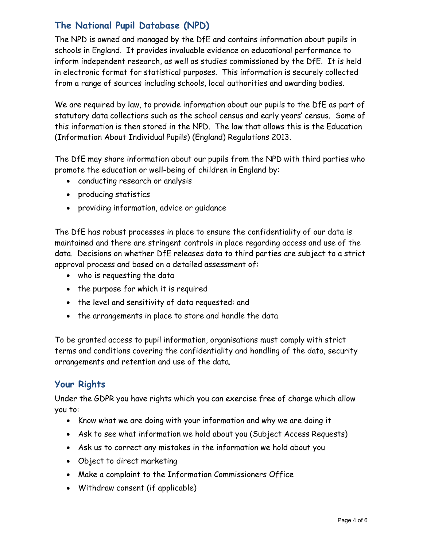# The National Pupil Database (NPD)

The NPD is owned and managed by the DfE and contains information about pupils in schools in England. It provides invaluable evidence on educational performance to inform independent research, as well as studies commissioned by the DfE. It is held in electronic format for statistical purposes. This information is securely collected from a range of sources including schools, local authorities and awarding bodies.

We are required by law, to provide information about our pupils to the DfE as part of statutory data collections such as the school census and early years' census. Some of this information is then stored in the NPD. The law that allows this is the Education (Information About Individual Pupils) (England) Regulations 2013.

The DfE may share information about our pupils from the NPD with third parties who promote the education or well-being of children in England by:

- conducting research or analysis
- producing statistics
- providing information, advice or guidance

The DfE has robust processes in place to ensure the confidentiality of our data is maintained and there are stringent controls in place regarding access and use of the data. Decisions on whether DfE releases data to third parties are subject to a strict approval process and based on a detailed assessment of:

- who is requesting the data
- the purpose for which it is required
- the level and sensitivity of data requested: and
- the arrangements in place to store and handle the data

To be granted access to pupil information, organisations must comply with strict terms and conditions covering the confidentiality and handling of the data, security arrangements and retention and use of the data.

## Your Rights

Under the GDPR you have rights which you can exercise free of charge which allow you to:

- Know what we are doing with your information and why we are doing it
- Ask to see what information we hold about you (Subject Access Requests)
- Ask us to correct any mistakes in the information we hold about you
- Object to direct marketing
- Make a complaint to the Information Commissioners Office
- Withdraw consent (if applicable)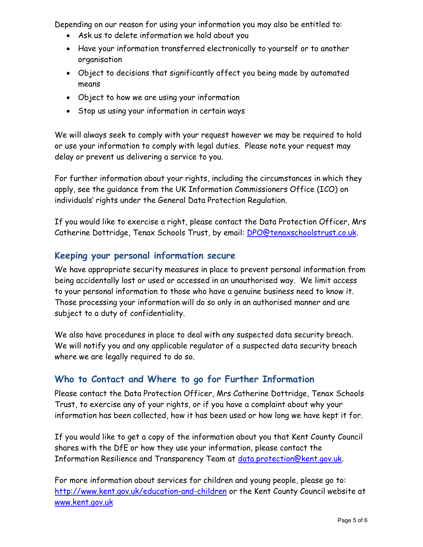Depending on our reason for using your information you may also be entitled to:

- Ask us to delete information we hold about you
- Have your information transferred electronically to yourself or to another organisation
- Object to decisions that significantly affect you being made by automated means
- Object to how we are using your information
- Stop us using your information in certain ways

We will always seek to comply with your request however we may be required to hold or use your information to comply with legal duties. Please note your request may delay or prevent us delivering a service to you.

For further information about your rights, including the circumstances in which they apply, see the guidance from the UK Information Commissioners Office (ICO) on individuals' rights under the General Data Protection Regulation.

If you would like to exercise a right, please contact the Data Protection Officer, Mrs Catherine Dottridge, Tenax Schools Trust, by email: DPO@tenaxschoolstrust.co.uk.

### Keeping your personal information secure

We have appropriate security measures in place to prevent personal information from being accidentally lost or used or accessed in an unauthorised way. We limit access to your personal information to those who have a genuine business need to know it. Those processing your information will do so only in an authorised manner and are subject to a duty of confidentiality.

We also have procedures in place to deal with any suspected data security breach. We will notify you and any applicable regulator of a suspected data security breach where we are legally required to do so.

## Who to Contact and Where to go for Further Information

Please contact the Data Protection Officer, Mrs Catherine Dottridge, Tenax Schools Trust, to exercise any of your rights, or if you have a complaint about why your information has been collected, how it has been used or how long we have kept it for.

If you would like to get a copy of the information about you that Kent County Council shares with the DfE or how they use your information, please contact the Information Resilience and Transparency Team at <u>data.protection@kent.gov.uk</u>.

For more information about services for children and young people, please go to: http://www.kent.gov.uk/education-and-children or the Kent County Council website at www.kent.gov.uk